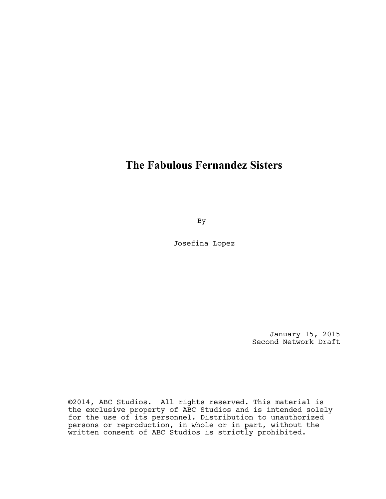# **The Fabulous Fernandez Sisters**

By

Josefina Lopez

January 15, 2015 Second Network Draft

©2014, ABC Studios. All rights reserved. This material is the exclusive property of ABC Studios and is intended solely for the use of its personnel. Distribution to unauthorized persons or reproduction, in whole or in part, without the written consent of ABC Studios is strictly prohibited.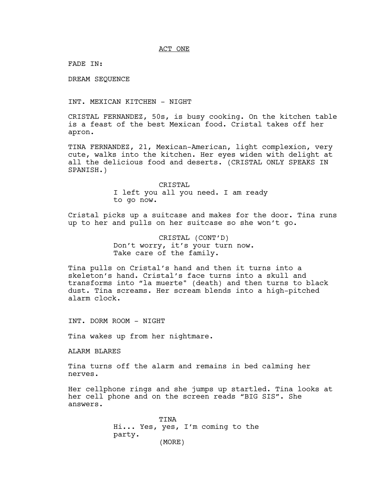ACT ONE

FADE IN:

DREAM SEQUENCE

INT. MEXICAN KITCHEN - NIGHT

CRISTAL FERNANDEZ, 50s, is busy cooking. On the kitchen table is a feast of the best Mexican food. Cristal takes off her apron.

TINA FERNANDEZ, 21, Mexican-American, light complexion, very cute, walks into the kitchen. Her eyes widen with delight at all the delicious food and deserts. (CRISTAL ONLY SPEAKS IN SPANISH.)

> CRISTAL I left you all you need. I am ready to go now.

Cristal picks up a suitcase and makes for the door. Tina runs up to her and pulls on her suitcase so she won't go.

> CRISTAL (CONT'D) Don't worry, it's your turn now. Take care of the family.

Tina pulls on Cristal's hand and then it turns into a skeleton's hand. Cristal's face turns into a skull and transforms into "la muerte" (death) and then turns to black dust. Tina screams. Her scream blends into a high-pitched alarm clock.

INT. DORM ROOM - NIGHT

Tina wakes up from her nightmare.

ALARM BLARES

Tina turns off the alarm and remains in bed calming her nerves.

Her cellphone rings and she jumps up startled. Tina looks at her cell phone and on the screen reads "BIG SIS". She answers.

> TINA Hi... Yes, yes, I'm coming to the party. (MORE)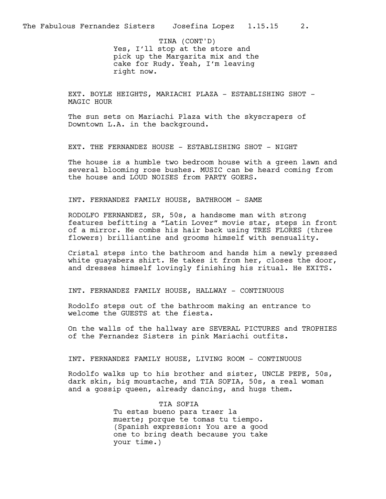Yes, I'll stop at the store and pick up the Margarita mix and the cake for Rudy. Yeah, I'm leaving right now. TINA (CONT'D)

EXT. BOYLE HEIGHTS, MARIACHI PLAZA - ESTABLISHING SHOT -MAGIC HOUR

The sun sets on Mariachi Plaza with the skyscrapers of Downtown L.A. in the background.

EXT. THE FERNANDEZ HOUSE - ESTABLISHING SHOT - NIGHT

The house is a humble two bedroom house with a green lawn and several blooming rose bushes. MUSIC can be heard coming from the house and LOUD NOISES from PARTY GOERS.

INT. FERNANDEZ FAMILY HOUSE, BATHROOM - SAME

RODOLFO FERNANDEZ, SR, 50s, a handsome man with strong features befitting a "Latin Lover" movie star, steps in front of a mirror. He combs his hair back using TRES FLORES (three flowers) brilliantine and grooms himself with sensuality.

Cristal steps into the bathroom and hands him a newly pressed white guayabera shirt. He takes it from her, closes the door, and dresses himself lovingly finishing his ritual. He EXITS.

INT. FERNANDEZ FAMILY HOUSE, HALLWAY - CONTINUOUS

Rodolfo steps out of the bathroom making an entrance to welcome the GUESTS at the fiesta.

On the walls of the hallway are SEVERAL PICTURES and TROPHIES of the Fernandez Sisters in pink Mariachi outfits.

INT. FERNANDEZ FAMILY HOUSE, LIVING ROOM - CONTINUOUS

Rodolfo walks up to his brother and sister, UNCLE PEPE, 50s, dark skin, big moustache, and TIA SOFIA, 50s, a real woman and a gossip queen, already dancing, and hugs them.

> TIA SOFIA Tu estas bueno para traer la muerte; porque te tomas tu tiempo. (Spanish expression: You are a good one to bring death because you take your time.)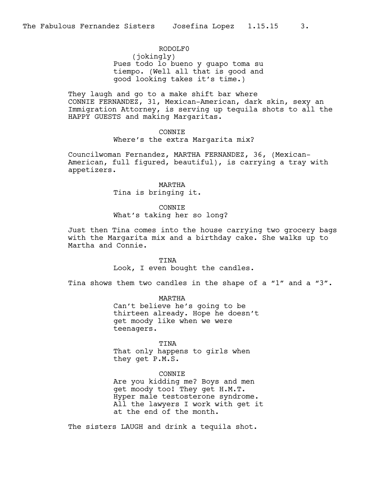RODOLF0 (jokingly) Pues todo lo bueno y guapo toma su tiempo. (Well all that is good and good looking takes it's time.)

They laugh and go to a make shift bar where CONNIE FERNANDEZ, 31, Mexican-American, dark skin, sexy an Immigration Attorney, is serving up tequila shots to all the HAPPY GUESTS and making Margaritas.

## CONNIE

Where's the extra Margarita mix?

Councilwoman Fernandez, MARTHA FERNANDEZ, 36, (Mexican-American, full figured, beautiful), is carrying a tray with appetizers.

> MARTHA Tina is bringing it.

## CONNIE What's taking her so long?

Just then Tina comes into the house carrying two grocery bags with the Margarita mix and a birthday cake. She walks up to Martha and Connie.

#### TINA

Look, I even bought the candles.

Tina shows them two candles in the shape of a "1" and a "3".

MARTHA Can't believe he's going to be thirteen already. Hope he doesn't get moody like when we were teenagers.

TINA That only happens to girls when they get P.M.S.

## CONNIE

Are you kidding me? Boys and men get moody too! They get H.M.T. Hyper male testosterone syndrome. All the lawyers I work with get it at the end of the month.

The sisters LAUGH and drink a tequila shot.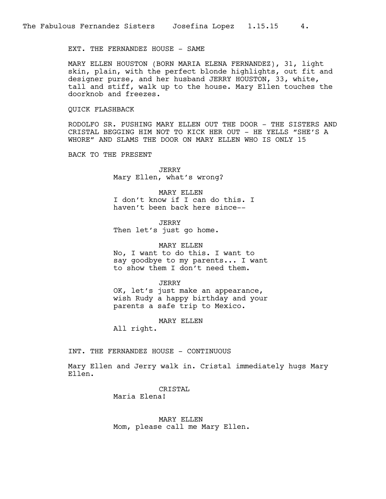## EXT. THE FERNANDEZ HOUSE - SAME

MARY ELLEN HOUSTON (BORN MARIA ELENA FERNANDEZ), 31, light skin, plain, with the perfect blonde highlights, out fit and designer purse, and her husband JERRY HOUSTON, 33, white, tall and stiff, walk up to the house. Mary Ellen touches the doorknob and freezes.

#### QUICK FLASHBACK

RODOLFO SR. PUSHING MARY ELLEN OUT THE DOOR - THE SISTERS AND CRISTAL BEGGING HIM NOT TO KICK HER OUT - HE YELLS "SHE'S A WHORE" AND SLAMS THE DOOR ON MARY ELLEN WHO IS ONLY 15

BACK TO THE PRESENT

JERRY Mary Ellen, what's wrong?

MARY ELLEN I don't know if I can do this. I haven't been back here since--

JERRY Then let's just go home.

MARY ELLEN No, I want to do this. I want to say goodbye to my parents... I want to show them I don't need them.

**JERRY** 

OK, let's just make an appearance, wish Rudy a happy birthday and your parents a safe trip to Mexico.

MARY ELLEN

All right.

INT. THE FERNANDEZ HOUSE - CONTINUOUS

Mary Ellen and Jerry walk in. Cristal immediately hugs Mary Ellen.

> CRISTAL Maria Elena!

MARY ELLEN Mom, please call me Mary Ellen.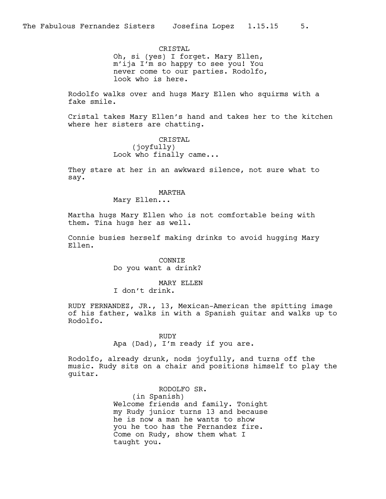CRISTAL Oh, si (yes) I forget. Mary Ellen, m'ija I'm so happy to see you! You never come to our parties. Rodolfo, look who is here.

Rodolfo walks over and hugs Mary Ellen who squirms with a fake smile.

Cristal takes Mary Ellen's hand and takes her to the kitchen where her sisters are chatting.

> CRISTAL (joyfully) Look who finally came...

They stare at her in an awkward silence, not sure what to say.

## MARTHA

Mary Ellen...

Martha hugs Mary Ellen who is not comfortable being with them. Tina hugs her as well.

Connie busies herself making drinks to avoid hugging Mary Ellen.

> CONNIE Do you want a drink?

## MARY ELLEN

I don't drink.

RUDY FERNANDEZ, JR., 13, Mexican-American the spitting image of his father, walks in with a Spanish guitar and walks up to Rodolfo.

> RUDY Apa (Dad), I'm ready if you are.

Rodolfo, already drunk, nods joyfully, and turns off the music. Rudy sits on a chair and positions himself to play the guitar.

> RODOLFO SR. (in Spanish) Welcome friends and family. Tonight my Rudy junior turns 13 and because he is now a man he wants to show you he too has the Fernandez fire. Come on Rudy, show them what I taught you.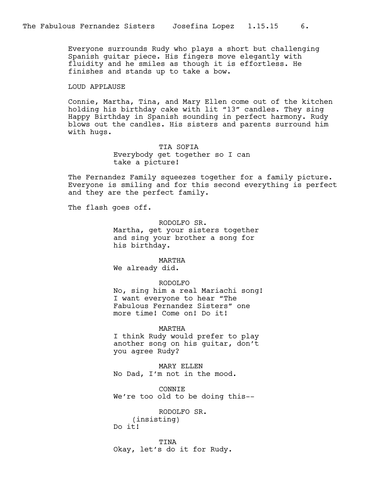Everyone surrounds Rudy who plays a short but challenging Spanish guitar piece. His fingers move elegantly with fluidity and he smiles as though it is effortless. He finishes and stands up to take a bow.

## LOUD APPLAUSE

Connie, Martha, Tina, and Mary Ellen come out of the kitchen holding his birthday cake with lit "13" candles. They sing Happy Birthday in Spanish sounding in perfect harmony. Rudy blows out the candles. His sisters and parents surround him with hugs.

> TIA SOFIA Everybody get together so I can take a picture!

The Fernandez Family squeezes together for a family picture. Everyone is smiling and for this second everything is perfect and they are the perfect family.

The flash goes off.

RODOLFO SR. Martha, get your sisters together and sing your brother a song for his birthday.

#### MARTHA

We already did.

## RODOLFO

No, sing him a real Mariachi song! I want everyone to hear "The Fabulous Fernandez Sisters" one more time! Come on! Do it!

MARTHA

I think Rudy would prefer to play another song on his guitar, don't you agree Rudy?

MARY ELLEN No Dad, I'm not in the mood.

CONNIE We're too old to be doing this--

RODOLFO SR. (insisting) Do it!

TINA Okay, let's do it for Rudy.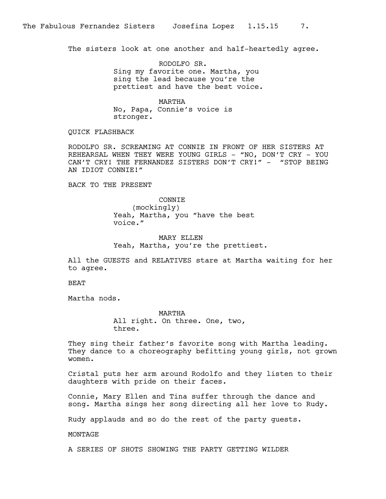The sisters look at one another and half-heartedly agree.

RODOLFO SR. Sing my favorite one. Martha, you sing the lead because you're the prettiest and have the best voice.

MARTHA No, Papa, Connie's voice is stronger.

QUICK FLASHBACK

RODOLFO SR. SCREAMING AT CONNIE IN FRONT OF HER SISTERS AT REHEARSAL WHEN THEY WERE YOUNG GIRLS - "NO, DON'T CRY - YOU CAN'T CRY! THE FERNANDEZ SISTERS DON'T CRY!" - "STOP BEING AN IDIOT CONNIE!"

BACK TO THE PRESENT

**CONNTE** (mockingly) Yeah, Martha, you "have the best voice."

MARY ELLEN Yeah, Martha, you're the prettiest.

All the GUESTS and RELATIVES stare at Martha waiting for her to agree.

BEAT

Martha nods.

MARTHA All right. On three. One, two, three.

They sing their father's favorite song with Martha leading. They dance to a choreography befitting young girls, not grown women.

Cristal puts her arm around Rodolfo and they listen to their daughters with pride on their faces.

Connie, Mary Ellen and Tina suffer through the dance and song. Martha sings her song directing all her love to Rudy.

Rudy applauds and so do the rest of the party guests.

MONTAGE

A SERIES OF SHOTS SHOWING THE PARTY GETTING WILDER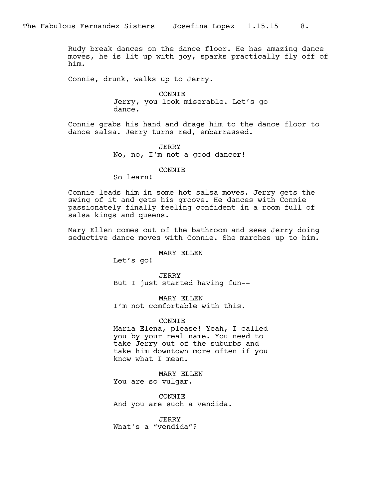Rudy break dances on the dance floor. He has amazing dance moves, he is lit up with joy, sparks practically fly off of him.

Connie, drunk, walks up to Jerry.

CONNIE Jerry, you look miserable. Let's go dance.

Connie grabs his hand and drags him to the dance floor to dance salsa. Jerry turns red, embarrassed.

> JERRY No, no, I'm not a good dancer!

## CONNIE

So learn!

Connie leads him in some hot salsa moves. Jerry gets the swing of it and gets his groove. He dances with Connie passionately finally feeling confident in a room full of salsa kings and queens.

Mary Ellen comes out of the bathroom and sees Jerry doing seductive dance moves with Connie. She marches up to him.

## MARY ELLEN

Let's go!

JERRY But I just started having fun--

MARY ELLEN I'm not comfortable with this.

CONNIE

Maria Elena, please! Yeah, I called you by your real name. You need to take Jerry out of the suburbs and take him downtown more often if you know what I mean.

MARY ELLEN You are so vulgar.

CONNIE And you are such a vendida.

JERRY What's a "vendida"?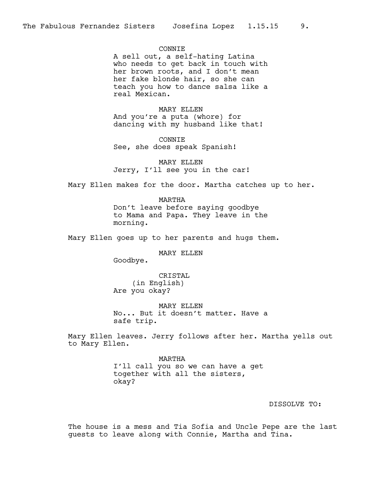## **CONNTE**

A sell out, a self-hating Latina who needs to get back in touch with her brown roots, and I don't mean her fake blonde hair, so she can teach you how to dance salsa like a real Mexican.

#### MARY ELLEN

And you're a puta (whore) for dancing with my husband like that!

CONNIE See, she does speak Spanish!

MARY ELLEN Jerry, I'll see you in the car!

Mary Ellen makes for the door. Martha catches up to her.

MARTHA Don't leave before saying goodbye to Mama and Papa. They leave in the morning.

Mary Ellen goes up to her parents and hugs them.

## MARY ELLEN

Goodbye.

CRISTAL (in English) Are you okay?

MARY ELLEN No... But it doesn't matter. Have a safe trip.

Mary Ellen leaves. Jerry follows after her. Martha yells out to Mary Ellen.

> MARTHA I'll call you so we can have a get together with all the sisters, okay?

#### DISSOLVE TO:

The house is a mess and Tia Sofia and Uncle Pepe are the last guests to leave along with Connie, Martha and Tina.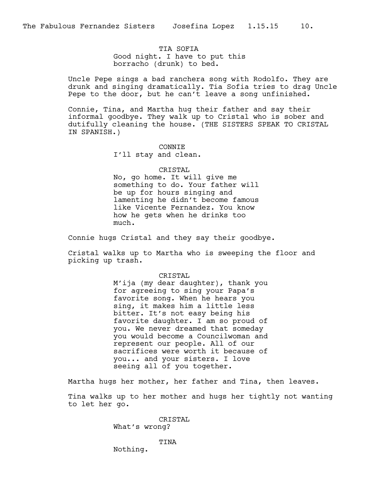TIA SOFIA Good night. I have to put this borracho (drunk) to bed.

Uncle Pepe sings a bad ranchera song with Rodolfo. They are drunk and singing dramatically. Tia Sofia tries to drag Uncle Pepe to the door, but he can't leave a song unfinished.

Connie, Tina, and Martha hug their father and say their informal goodbye. They walk up to Cristal who is sober and dutifully cleaning the house. (THE SISTERS SPEAK TO CRISTAL IN SPANISH.)

> CONNIE I'll stay and clean.

> > CRISTAL

No, go home. It will give me something to do. Your father will be up for hours singing and lamenting he didn't become famous like Vicente Fernandez. You know how he gets when he drinks too much.

Connie hugs Cristal and they say their goodbye.

Cristal walks up to Martha who is sweeping the floor and picking up trash.

## CRISTAL

M'ija (my dear daughter), thank you for agreeing to sing your Papa's favorite song. When he hears you sing, it makes him a little less bitter. It's not easy being his favorite daughter. I am so proud of you. We never dreamed that someday you would become a Councilwoman and represent our people. All of our sacrifices were worth it because of you... and your sisters. I love seeing all of you together.

Martha hugs her mother, her father and Tina, then leaves.

Tina walks up to her mother and hugs her tightly not wanting to let her go.

> CRISTAL What's wrong?

> > TINA

Nothing.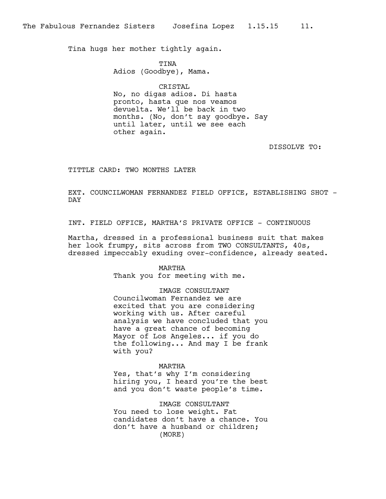Tina hugs her mother tightly again.

TINA Adios (Goodbye), Mama.

CRISTAL No, no digas adios. Di hasta pronto, hasta que nos veamos devuelta. We'll be back in two months. (No, don't say goodbye. Say until later, until we see each other again.

DISSOLVE TO:

TITTLE CARD: TWO MONTHS LATER

EXT. COUNCILWOMAN FERNANDEZ FIELD OFFICE, ESTABLISHING SHOT - DAY

INT. FIELD OFFICE, MARTHA'S PRIVATE OFFICE - CONTINUOUS

Martha, dressed in a professional business suit that makes her look frumpy, sits across from TWO CONSULTANTS, 40s, dressed impeccably exuding over-confidence, already seated.

#### MARTHA

Thank you for meeting with me.

## IMAGE CONSULTANT

Councilwoman Fernandez we are excited that you are considering working with us. After careful analysis we have concluded that you have a great chance of becoming Mayor of Los Angeles... if you do the following... And may I be frank with you?

#### MARTHA

Yes, that's why I'm considering hiring you, I heard you're the best and you don't waste people's time.

IMAGE CONSULTANT You need to lose weight. Fat candidates don't have a chance. You don't have a husband or children; (MORE)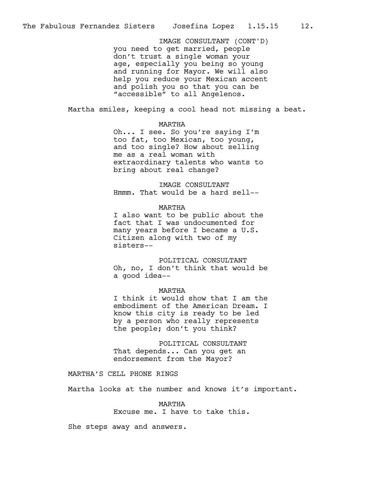you need to get married, people don't trust a single woman your age, especially you being so young and running for Mayor. We will also help you reduce your Mexican accent and polish you so that you can be "accessible" to all Angelenos. IMAGE CONSULTANT (CONT'D)

Martha smiles, keeping a cool head not missing a beat.

#### MARTHA

Oh... I see. So you're saying I'm too fat, too Mexican, too young, and too single? How about selling me as a real woman with extraordinary talents who wants to bring about real change?

IMAGE CONSULTANT Hmmm. That would be a hard sell--

#### MARTHA

I also want to be public about the fact that I was undocumented for many years before I became a U.S. Citizen along with two of my sisters--

POLITICAL CONSULTANT Oh, no, I don't think that would be a good idea--

#### MARTHA

I think it would show that I am the embodiment of the American Dream. I know this city is ready to be led by a person who really represents the people; don't you think?

POLITICAL CONSULTANT That depends... Can you get an endorsement from the Mayor?

## MARTHA'S CELL PHONE RINGS

Martha looks at the number and knows it's important.

MARTHA Excuse me. I have to take this.

She steps away and answers.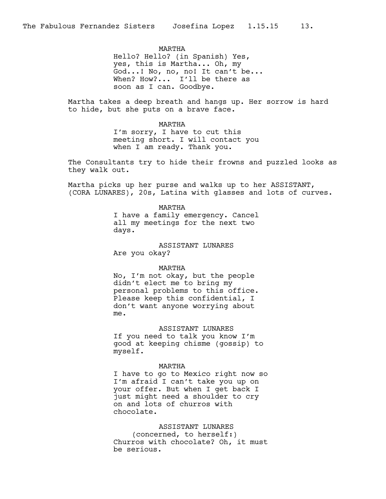MARTHA Hello? Hello? (in Spanish) Yes, yes, this is Martha... Oh, my God...! No, no, no! It can't be... When? How?... I'll be there as soon as I can. Goodbye.

Martha takes a deep breath and hangs up. Her sorrow is hard to hide, but she puts on a brave face.

#### MARTHA

I'm sorry, I have to cut this meeting short. I will contact you when I am ready. Thank you.

The Consultants try to hide their frowns and puzzled looks as they walk out.

Martha picks up her purse and walks up to her ASSISTANT, (CORA LUNARES), 20s, Latina with glasses and lots of curves.

## MARTHA

I have a family emergency. Cancel all my meetings for the next two days.

## ASSISTANT LUNARES

Are you okay?

#### MARTHA

No, I'm not okay, but the people didn't elect me to bring my personal problems to this office. Please keep this confidential, I don't want anyone worrying about me.

## ASSISTANT LUNARES

If you need to talk you know I'm good at keeping chisme (gossip) to myself.

#### MARTHA

I have to go to Mexico right now so I'm afraid I can't take you up on your offer. But when I get back I just might need a shoulder to cry on and lots of churros with chocolate.

ASSISTANT LUNARES (concerned, to herself:) Churros with chocolate? Oh, it must be serious.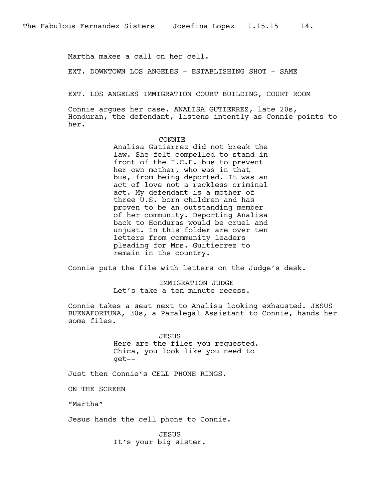Martha makes a call on her cell.

EXT. DOWNTOWN LOS ANGELES - ESTABLISHING SHOT - SAME

EXT. LOS ANGELES IMMIGRATION COURT BUILDING, COURT ROOM

Connie argues her case. ANALISA GUTIERREZ, late 20s, Honduran, the defendant, listens intently as Connie points to her.

#### CONNIE

Analisa Gutierrez did not break the law. She felt compelled to stand in front of the I.C.E. bus to prevent her own mother, who was in that bus, from being deported. It was an act of love not a reckless criminal act. My defendant is a mother of three U.S. born children and has proven to be an outstanding member of her community. Deporting Analisa back to Honduras would be cruel and unjust. In this folder are over ten letters from community leaders pleading for Mrs. Guitierrez to remain in the country.

Connie puts the file with letters on the Judge's desk.

IMMIGRATION JUDGE Let's take a ten minute recess.

Connie takes a seat next to Analisa looking exhausted. JESUS BUENAFORTUNA, 30s, a Paralegal Assistant to Connie, hands her some files.

> JESUS Here are the files you requested. Chica, you look like you need to get--

Just then Connie's CELL PHONE RINGS.

ON THE SCREEN

"Martha"

Jesus hands the cell phone to Connie.

JESUS It's your big sister.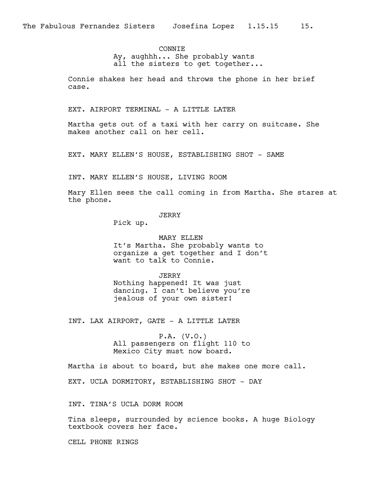## **CONNTE**

Ay, aughhh... She probably wants all the sisters to get together...

Connie shakes her head and throws the phone in her brief case.

EXT. AIRPORT TERMINAL - A LITTLE LATER

Martha gets out of a taxi with her carry on suitcase. She makes another call on her cell.

EXT. MARY ELLEN'S HOUSE, ESTABLISHING SHOT - SAME

INT. MARY ELLEN'S HOUSE, LIVING ROOM

Mary Ellen sees the call coming in from Martha. She stares at the phone.

## JERRY

Pick up.

MARY ELLEN It's Martha. She probably wants to organize a get together and I don't want to talk to Connie.

JERRY Nothing happened! It was just dancing. I can't believe you're jealous of your own sister!

INT. LAX AIRPORT, GATE - A LITTLE LATER

P.A. (V.O.) All passengers on flight 110 to Mexico City must now board.

Martha is about to board, but she makes one more call.

EXT. UCLA DORMITORY, ESTABLISHING SHOT - DAY

INT. TINA'S UCLA DORM ROOM

Tina sleeps, surrounded by science books. A huge Biology textbook covers her face.

CELL PHONE RINGS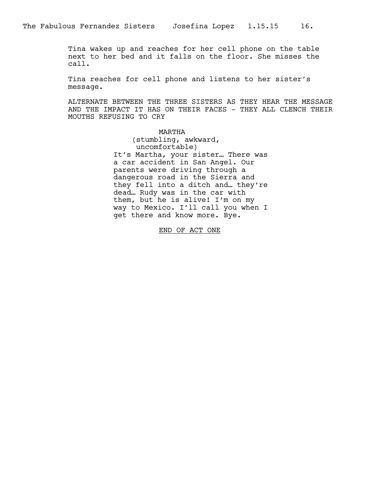Tina wakes up and reaches for her cell phone on the table next to her bed and it falls on the floor. She misses the call.

Tina reaches for cell phone and listens to her sister's message.

ALTERNATE BETWEEN THE THREE SISTERS AS THEY HEAR THE MESSAGE AND THE IMPACT IT HAS ON THEIR FACES - THEY ALL CLENCH THEIR MOUTHS REFUSING TO CRY

> MARTHA (stumbling, awkward, uncomfortable) It's Martha, your sister… There was a car accident in San Angel. Our parents were driving through a dangerous road in the Sierra and they fell into a ditch and… they're dead… Rudy was in the car with them, but he is alive! I'm on my way to Mexico. I'll call you when I get there and know more. Bye.

> > END OF ACT ONE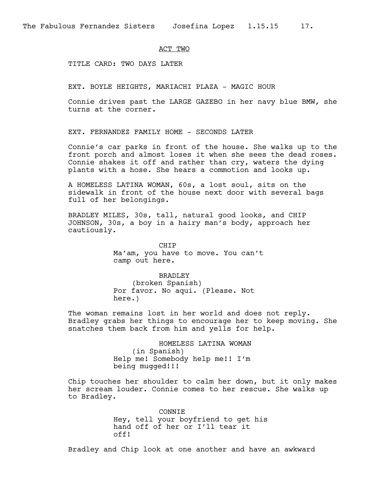#### ACT TWO

TITLE CARD: TWO DAYS LATER

EXT. BOYLE HEIGHTS, MARIACHI PLAZA - MAGIC HOUR

Connie drives past the LARGE GAZEBO in her navy blue BMW, she turns at the corner.

EXT. FERNANDEZ FAMILY HOME - SECONDS LATER

Connie's car parks in front of the house. She walks up to the front porch and almost loses it when she sees the dead roses. Connie shakes it off and rather than cry, waters the dying plants with a hose. She hears a commotion and looks up.

A HOMELESS LATINA WOMAN, 60s, a lost soul, sits on the sidewalk in front of the house next door with several bags full of her belongings.

BRADLEY MILES, 30s, tall, natural good looks, and CHIP JOHNSON, 30s, a boy in a hairy man's body, approach her cautiously.

> CHIP Ma'am, you have to move. You can't camp out here.

BRADLEY (broken Spanish) Por favor. No aqui. (Please. Not here.)

The woman remains lost in her world and does not reply. Bradley grabs her things to encourage her to keep moving. She snatches them back from him and yells for help.

> HOMELESS LATINA WOMAN (in Spanish) Help me! Somebody help me!! I'm being mugged!!!

Chip touches her shoulder to calm her down, but it only makes her scream louder. Connie comes to her rescue. She walks up to Bradley.

> CONNIE Hey, tell your boyfriend to get his hand off of her or I'll tear it off!

Bradley and Chip look at one another and have an awkward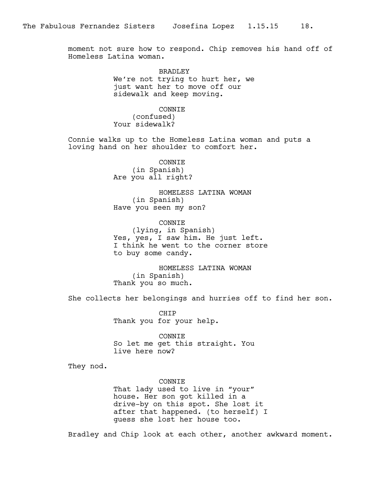moment not sure how to respond. Chip removes his hand off of Homeless Latina woman.

> **BRADLEY** We're not trying to hurt her, we just want her to move off our sidewalk and keep moving.

CONNIE (confused) Your sidewalk?

Connie walks up to the Homeless Latina woman and puts a loving hand on her shoulder to comfort her.

> CONNIE (in Spanish) Are you all right?

HOMELESS LATINA WOMAN (in Spanish) Have you seen my son?

CONNIE (lying, in Spanish) Yes, yes, I saw him. He just left. I think he went to the corner store to buy some candy.

HOMELESS LATINA WOMAN (in Spanish) Thank you so much.

She collects her belongings and hurries off to find her son.

CHIP Thank you for your help.

CONNIE So let me get this straight. You live here now?

They nod.

CONNIE

That lady used to live in "your" house. Her son got killed in a drive-by on this spot. She lost it after that happened. (to herself) I guess she lost her house too.

Bradley and Chip look at each other, another awkward moment.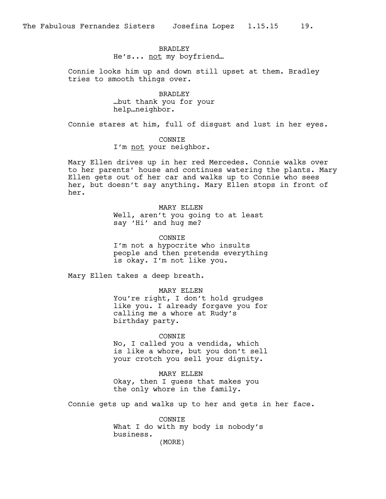## **BRADLEY** He's... not my boyfriend...

Connie looks him up and down still upset at them. Bradley tries to smooth things over.

> BRADLEY …but thank you for your help…neighbor.

Connie stares at him, full of disgust and lust in her eyes.

## CONNIE

I'm not your neighbor.

Mary Ellen drives up in her red Mercedes. Connie walks over to her parents' house and continues watering the plants. Mary Ellen gets out of her car and walks up to Connie who sees her, but doesn't say anything. Mary Ellen stops in front of her.

> MARY ELLEN Well, aren't you going to at least say 'Hi' and hug me?

CONNIE I'm not a hypocrite who insults people and then pretends everything is okay. I'm not like you.

Mary Ellen takes a deep breath.

MARY ELLEN

You're right, I don't hold grudges like you. I already forgave you for calling me a whore at Rudy's birthday party.

## CONNIE

No, I called you a vendida, which is like a whore, but you don't sell your crotch you sell your dignity.

MARY ELLEN Okay, then I guess that makes you the only whore in the family.

Connie gets up and walks up to her and gets in her face.

CONNIE What I do with my body is nobody's business. (MORE)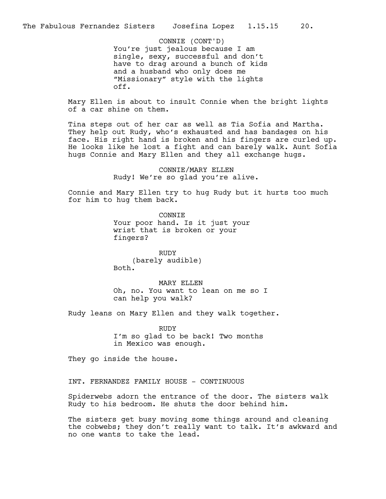You're just jealous because I am single, sexy, successful and don't have to drag around a bunch of kids and a husband who only does me "Missionary" style with the lights off. CONNIE (CONT'D)

Mary Ellen is about to insult Connie when the bright lights of a car shine on them.

Tina steps out of her car as well as Tia Sofia and Martha. They help out Rudy, who's exhausted and has bandages on his face. His right hand is broken and his fingers are curled up. He looks like he lost a fight and can barely walk. Aunt Sofia hugs Connie and Mary Ellen and they all exchange hugs.

> CONNIE/MARY ELLEN Rudy! We're so glad you're alive.

Connie and Mary Ellen try to hug Rudy but it hurts too much for him to hug them back.

> CONNIE Your poor hand. Is it just your wrist that is broken or your fingers?

RUDY (barely audible) Both.

MARY ELLEN Oh, no. You want to lean on me so I can help you walk?

Rudy leans on Mary Ellen and they walk together.

RUDY I'm so glad to be back! Two months in Mexico was enough.

They go inside the house.

INT. FERNANDEZ FAMILY HOUSE - CONTINUOUS

Spiderwebs adorn the entrance of the door. The sisters walk Rudy to his bedroom. He shuts the door behind him.

The sisters get busy moving some things around and cleaning the cobwebs; they don't really want to talk. It's awkward and no one wants to take the lead.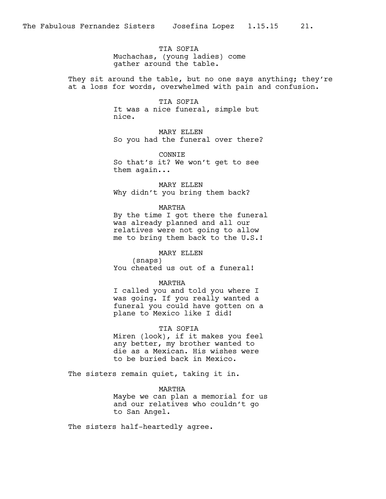TIA SOFIA Muchachas, (young ladies) come gather around the table.

They sit around the table, but no one says anything; they're at a loss for words, overwhelmed with pain and confusion.

> TIA SOFIA It was a nice funeral, simple but nice.

MARY ELLEN So you had the funeral over there?

CONNIE So that's it? We won't get to see them again...

MARY ELLEN Why didn't you bring them back?

## MARTHA

By the time I got there the funeral was already planned and all our relatives were not going to allow me to bring them back to the U.S.!

## MARY ELLEN

(snaps) You cheated us out of a funeral!

## MARTHA

I called you and told you where I was going. If you really wanted a funeral you could have gotten on a plane to Mexico like I did!

## TIA SOFIA

Miren (look), if it makes you feel any better, my brother wanted to die as a Mexican. His wishes were to be buried back in Mexico.

The sisters remain quiet, taking it in.

MARTHA Maybe we can plan a memorial for us and our relatives who couldn't go to San Angel.

The sisters half-heartedly agree.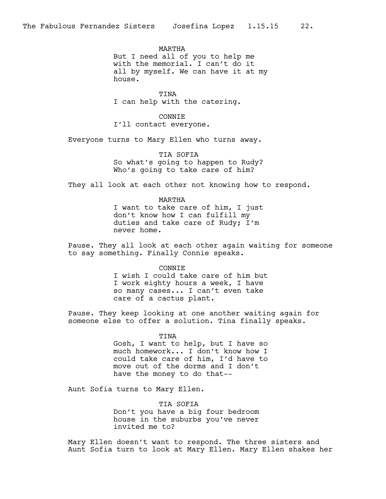MARTHA But I need all of you to help me with the memorial. I can't do it all by myself. We can have it at my house.

TINA I can help with the catering.

CONNIE I'll contact everyone.

Everyone turns to Mary Ellen who turns away.

TIA SOFIA So what's going to happen to Rudy? Who's going to take care of him?

They all look at each other not knowing how to respond.

# MARTHA

I want to take care of him, I just don't know how I can fulfill my duties and take care of Rudy; I'm never home.

Pause. They all look at each other again waiting for someone to say something. Finally Connie speaks.

CONNIE

I wish I could take care of him but I work eighty hours a week, I have so many cases... I can't even take care of a cactus plant.

Pause. They keep looking at one another waiting again for someone else to offer a solution. Tina finally speaks.

## TINA

Gosh, I want to help, but I have so much homework... I don't know how I could take care of him, I'd have to move out of the dorms and I don't have the money to do that--

Aunt Sofia turns to Mary Ellen.

TIA SOFIA Don't you have a big four bedroom house in the suburbs you've never invited me to?

Mary Ellen doesn't want to respond. The three sisters and Aunt Sofia turn to look at Mary Ellen. Mary Ellen shakes her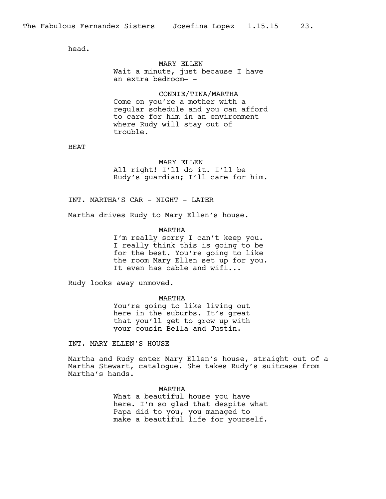head.

## MARY ELLEN Wait a minute, just because I have an extra bedroom— -

CONNIE/TINA/MARTHA Come on you're a mother with a regular schedule and you can afford to care for him in an environment where Rudy will stay out of trouble.

BEAT

#### MARY ELLEN

All right! I'll do it. I'll be Rudy's guardian; I'll care for him.

INT. MARTHA'S CAR - NIGHT - LATER

Martha drives Rudy to Mary Ellen's house.

MARTHA I'm really sorry I can't keep you. I really think this is going to be for the best. You're going to like the room Mary Ellen set up for you. It even has cable and wifi...

Rudy looks away unmoved.

MARTHA

You're going to like living out here in the suburbs. It's great that you'll get to grow up with your cousin Bella and Justin.

INT. MARY ELLEN'S HOUSE

Martha and Rudy enter Mary Ellen's house, straight out of a Martha Stewart, catalogue. She takes Rudy's suitcase from Martha's hands.

> MARTHA What a beautiful house you have here. I'm so glad that despite what Papa did to you, you managed to make a beautiful life for yourself.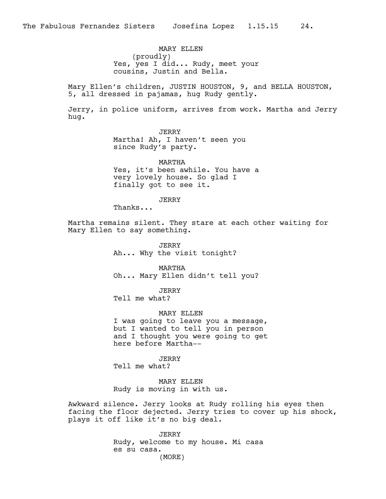MARY ELLEN (proudly) Yes, yes I did... Rudy, meet your cousins, Justin and Bella.

Mary Ellen's children, JUSTIN HOUSTON, 9, and BELLA HOUSTON, 5, all dressed in pajamas, hug Rudy gently.

Jerry, in police uniform, arrives from work. Martha and Jerry hug.

> JERRY Martha! Ah, I haven't seen you since Rudy's party.

MARTHA Yes, it's been awhile. You have a very lovely house. So glad I finally got to see it.

JERRY

Thanks...

Martha remains silent. They stare at each other waiting for Mary Ellen to say something.

> JERRY Ah... Why the visit tonight?

MARTHA Oh... Mary Ellen didn't tell you?

JERRY Tell me what?

MARY ELLEN

I was going to leave you a message, but I wanted to tell you in person and I thought you were going to get here before Martha--

JERRY

Tell me what?

MARY ELLEN Rudy is moving in with us.

Awkward silence. Jerry looks at Rudy rolling his eyes then facing the floor dejected. Jerry tries to cover up his shock, plays it off like it's no big deal.

> JERRY Rudy, welcome to my house. Mi casa es su casa. (MORE)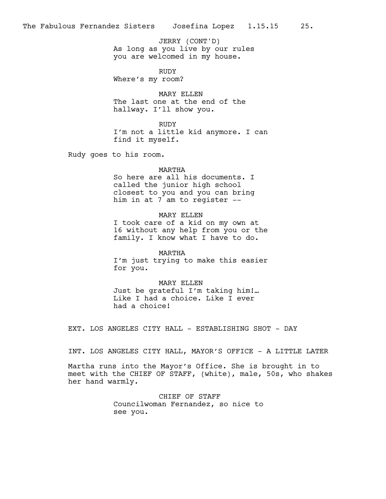As long as you live by our rules you are welcomed in my house. JERRY (CONT'D)

RUDY

Where's my room?

MARY ELLEN The last one at the end of the hallway. I'll show you.

RUDY I'm not a little kid anymore. I can find it myself.

Rudy goes to his room.

#### MARTHA

So here are all his documents. I called the junior high school closest to you and you can bring him in at 7 am to register --

MARY ELLEN I took care of a kid on my own at 16 without any help from you or the family. I know what I have to do.

MARTHA I'm just trying to make this easier for you.

MARY ELLEN Just be grateful I'm taking him!… Like I had a choice. Like I ever had a choice!

EXT. LOS ANGELES CITY HALL - ESTABLISHING SHOT - DAY

INT. LOS ANGELES CITY HALL, MAYOR'S OFFICE - A LITTLE LATER

Martha runs into the Mayor's Office. She is brought in to meet with the CHIEF OF STAFF, (white), male, 50s, who shakes her hand warmly.

> CHIEF OF STAFF Councilwoman Fernandez, so nice to see you.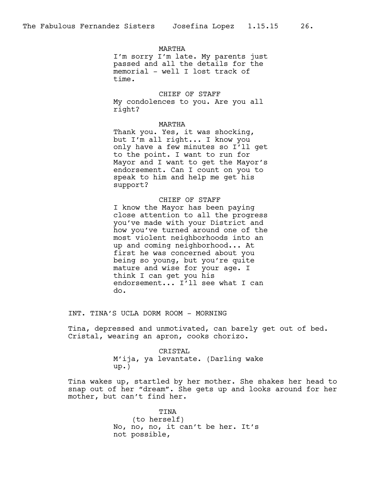## MARTHA

I'm sorry I'm late. My parents just passed and all the details for the memorial - well I lost track of time.

CHIEF OF STAFF My condolences to you. Are you all right?

## MARTHA

Thank you. Yes, it was shocking, but I'm all right... I know you only have a few minutes so I'll get to the point. I want to run for Mayor and I want to get the Mayor's endorsement. Can I count on you to speak to him and help me get his support?

CHIEF OF STAFF I know the Mayor has been paying close attention to all the progress you've made with your District and how you've turned around one of the most violent neighborhoods into an up and coming neighborhood... At first he was concerned about you being so young, but you're quite mature and wise for your age. I think I can get you his endorsement... I'll see what I can do.

INT. TINA'S UCLA DORM ROOM - MORNING

Tina, depressed and unmotivated, can barely get out of bed. Cristal, wearing an apron, cooks chorizo.

> CRISTAL M'ija, ya levantate. (Darling wake up.)

Tina wakes up, startled by her mother. She shakes her head to snap out of her "dream". She gets up and looks around for her mother, but can't find her.

> TINA (to herself) No, no, no, it can't be her. It's not possible,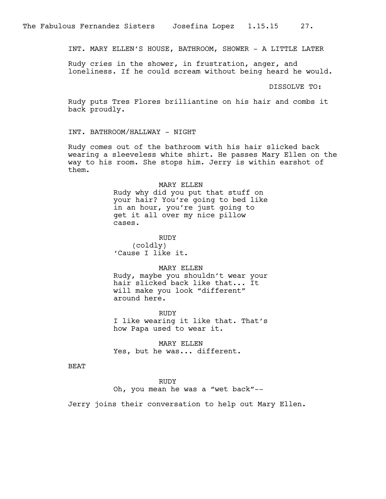INT. MARY ELLEN'S HOUSE, BATHROOM, SHOWER - A LITTLE LATER

Rudy cries in the shower, in frustration, anger, and loneliness. If he could scream without being heard he would.

DISSOLVE TO:

Rudy puts Tres Flores brilliantine on his hair and combs it back proudly.

INT. BATHROOM/HALLWAY - NIGHT

Rudy comes out of the bathroom with his hair slicked back wearing a sleeveless white shirt. He passes Mary Ellen on the way to his room. She stops him. Jerry is within earshot of them.

#### MARY ELLEN

Rudy why did you put that stuff on your hair? You're going to bed like in an hour, you're just going to get it all over my nice pillow cases.

RUDY (coldly) 'Cause I like it.

MARY ELLEN

Rudy, maybe you shouldn't wear your hair slicked back like that... It will make you look "different" around here.

RUDY I like wearing it like that. That's how Papa used to wear it.

MARY ELLEN Yes, but he was... different.

BEAT

RUDY

Oh, you mean he was a "wet back"--

Jerry joins their conversation to help out Mary Ellen.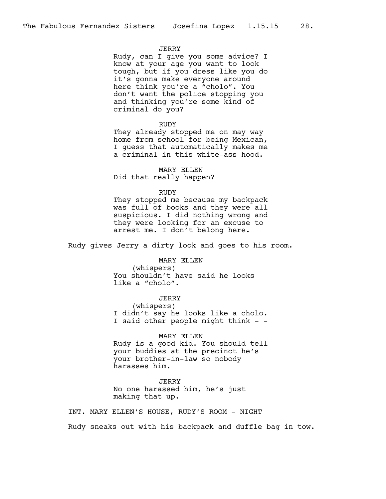## **JERRY**

Rudy, can I give you some advice? I know at your age you want to look tough, but if you dress like you do it's gonna make everyone around here think you're a "cholo". You don't want the police stopping you and thinking you're some kind of criminal do you?

#### RUDY

They already stopped me on may way home from school for being Mexican, I guess that automatically makes me a criminal in this white-ass hood.

MARY ELLEN Did that really happen?

#### RUDY

They stopped me because my backpack was full of books and they were all suspicious. I did nothing wrong and they were looking for an excuse to arrest me. I don't belong here.

Rudy gives Jerry a dirty look and goes to his room.

#### MARY ELLEN

(whispers) You shouldn't have said he looks like a "cholo".

JERRY

(whispers) I didn't say he looks like a cholo. I said other people might think - -

MARY ELLEN Rudy is a good kid. You should tell your buddies at the precinct he's your brother-in-law so nobody harasses him.

## JERRY

No one harassed him, he's just making that up.

INT. MARY ELLEN'S HOUSE, RUDY'S ROOM - NIGHT

Rudy sneaks out with his backpack and duffle bag in tow.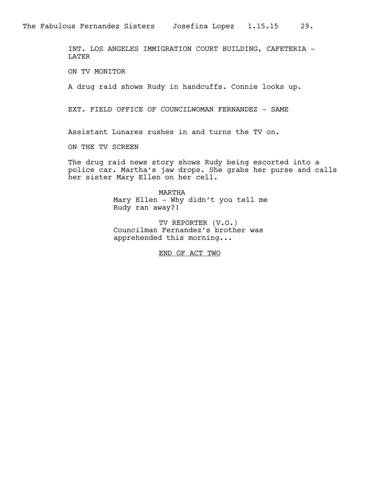INT. LOS ANGELES IMMIGRATION COURT BUILDING, CAFETERIA - LATER

ON TV MONITOR

A drug raid shows Rudy in handcuffs. Connie looks up.

EXT. FIELD OFFICE OF COUNCILWOMAN FERNANDEZ - SAME

Assistant Lunares rushes in and turns the TV on.

ON THE TV SCREEN

The drug raid news story shows Rudy being escorted into a police car. Martha's jaw drops. She grabs her purse and calls her sister Mary Ellen on her cell.

> MARTHA Mary Ellen - Why didn't you tell me Rudy ran away?!

TV REPORTER (V.O.) Councilman Fernandez's brother was apprehended this morning...

END OF ACT TWO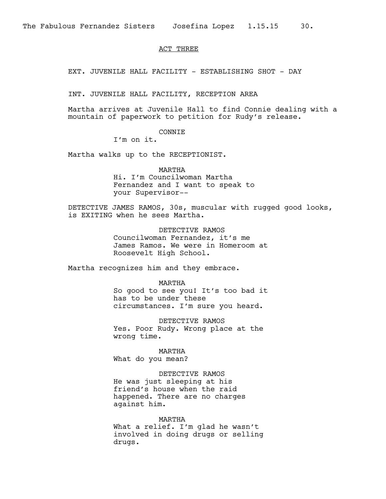## ACT THREE

EXT. JUVENILE HALL FACILITY - ESTABLISHING SHOT - DAY

INT. JUVENILE HALL FACILITY, RECEPTION AREA

Martha arrives at Juvenile Hall to find Connie dealing with a mountain of paperwork to petition for Rudy's release.

## CONNIE

I'm on it.

Martha walks up to the RECEPTIONIST.

MARTHA Hi. I'm Councilwoman Martha Fernandez and I want to speak to your Supervisor--

DETECTIVE JAMES RAMOS, 30s, muscular with rugged good looks, is EXITING when he sees Martha.

> DETECTIVE RAMOS Councilwoman Fernandez, it's me James Ramos. We were in Homeroom at Roosevelt High School.

Martha recognizes him and they embrace.

MARTHA So good to see you! It's too bad it has to be under these circumstances. I'm sure you heard.

DETECTIVE RAMOS Yes. Poor Rudy. Wrong place at the wrong time.

MARTHA What do you mean?

DETECTIVE RAMOS He was just sleeping at his friend's house when the raid happened. There are no charges against him.

MARTHA What a relief. I'm glad he wasn't involved in doing drugs or selling drugs.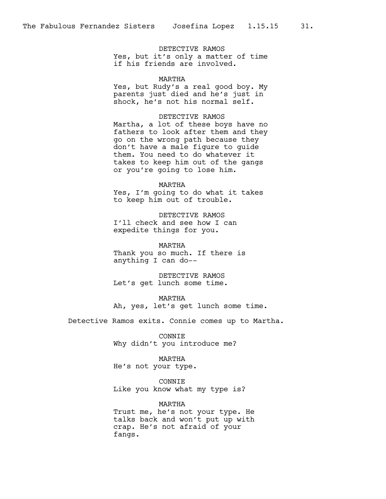DETECTIVE RAMOS Yes, but it's only a matter of time if his friends are involved.

#### MARTHA

Yes, but Rudy's a real good boy. My parents just died and he's just in shock, he's not his normal self.

## DETECTIVE RAMOS

Martha, a lot of these boys have no fathers to look after them and they go on the wrong path because they don't have a male figure to guide them. You need to do whatever it takes to keep him out of the gangs or you're going to lose him.

#### MARTHA

Yes, I'm going to do what it takes to keep him out of trouble.

DETECTIVE RAMOS I'll check and see how I can expedite things for you.

MARTHA Thank you so much. If there is anything I can do--

DETECTIVE RAMOS Let's get lunch some time.

MARTHA

Ah, yes, let's get lunch some time.

Detective Ramos exits. Connie comes up to Martha.

CONNIE Why didn't you introduce me?

#### MARTHA

He's not your type.

CONNIE

Like you know what my type is?

#### MARTHA

Trust me, he's not your type. He talks back and won't put up with crap. He's not afraid of your fangs.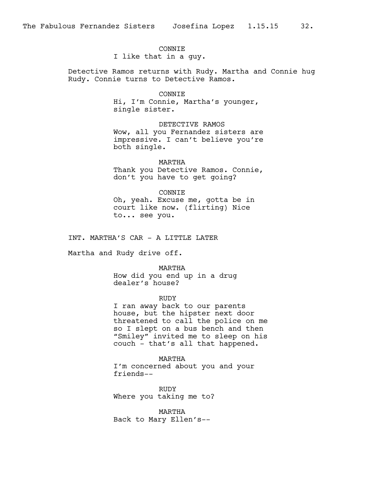#### **CONNTE**

I like that in a guy.

Detective Ramos returns with Rudy. Martha and Connie hug Rudy. Connie turns to Detective Ramos.

#### CONNIE

Hi, I'm Connie, Martha's younger, single sister.

DETECTIVE RAMOS Wow, all you Fernandez sisters are impressive. I can't believe you're both single.

MARTHA Thank you Detective Ramos. Connie, don't you have to get going?

CONNIE Oh, yeah. Excuse me, gotta be in court like now. (flirting) Nice to... see you.

INT. MARTHA'S CAR - A LITTLE LATER

Martha and Rudy drive off.

MARTHA How did you end up in a drug dealer's house?

#### RUDY

I ran away back to our parents house, but the hipster next door threatened to call the police on me so I slept on a bus bench and then "Smiley" invited me to sleep on his couch - that's all that happened.

MARTHA I'm concerned about you and your friends--

RUDY Where you taking me to?

MARTHA Back to Mary Ellen's--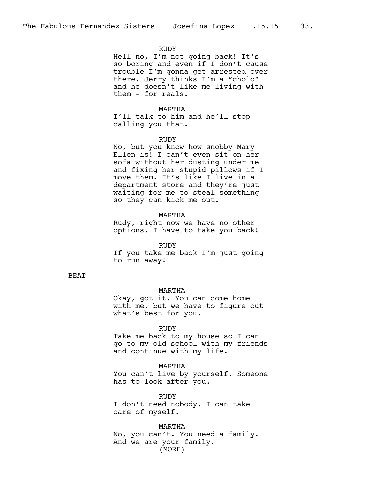## RUDY

Hell no, I'm not going back! It's so boring and even if I don't cause trouble I'm gonna get arrested over there. Jerry thinks I'm a "cholo" and he doesn't like me living with them - for reals.

## MARTHA

I'll talk to him and he'll stop calling you that.

#### RUDY

No, but you know how snobby Mary Ellen is! I can't even sit on her sofa without her dusting under me and fixing her stupid pillows if I move them. It's like I live in a department store and they're just waiting for me to steal something so they can kick me out.

## MARTHA

Rudy, right now we have no other options. I have to take you back!

RUDY If you take me back I'm just going to run away!

## BEAT

#### MARTHA

Okay, got it. You can come home with me, but we have to figure out what's best for you.

RUDY

Take me back to my house so I can go to my old school with my friends and continue with my life.

MARTHA You can't live by yourself. Someone

has to look after you.

RUDY I don't need nobody. I can take care of myself.

MARTHA No, you can't. You need a family. And we are your family. (MORE)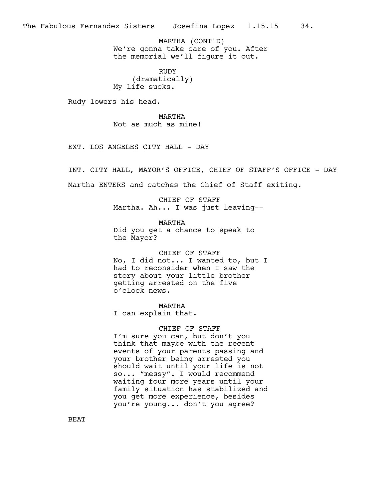We're gonna take care of you. After the memorial we'll figure it out. MARTHA (CONT'D)

RUDY (dramatically) My life sucks.

Rudy lowers his head.

MARTHA Not as much as mine!

EXT. LOS ANGELES CITY HALL - DAY

INT. CITY HALL, MAYOR'S OFFICE, CHIEF OF STAFF'S OFFICE - DAY Martha ENTERS and catches the Chief of Staff exiting.

> CHIEF OF STAFF Martha. Ah... I was just leaving--

MARTHA Did you get a chance to speak to the Mayor?

CHIEF OF STAFF No, I did not... I wanted to, but I had to reconsider when I saw the story about your little brother getting arrested on the five o'clock news.

MARTHA I can explain that.

#### CHIEF OF STAFF

I'm sure you can, but don't you think that maybe with the recent events of your parents passing and your brother being arrested you should wait until your life is not so... "messy". I would recommend waiting four more years until your family situation has stabilized and you get more experience, besides you're young... don't you agree?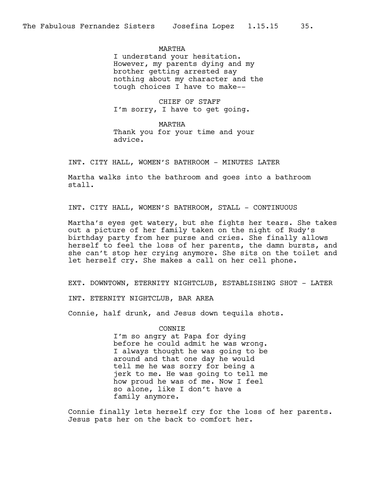MARTHA

I understand your hesitation. However, my parents dying and my brother getting arrested say nothing about my character and the tough choices I have to make--

CHIEF OF STAFF I'm sorry, I have to get going.

MARTHA Thank you for your time and your advice.

INT. CITY HALL, WOMEN'S BATHROOM - MINUTES LATER

Martha walks into the bathroom and goes into a bathroom stall.

INT. CITY HALL, WOMEN'S BATHROOM, STALL - CONTINUOUS

Martha's eyes get watery, but she fights her tears. She takes out a picture of her family taken on the night of Rudy's birthday party from her purse and cries. She finally allows herself to feel the loss of her parents, the damn bursts, and she can't stop her crying anymore. She sits on the toilet and let herself cry. She makes a call on her cell phone.

EXT. DOWNTOWN, ETERNITY NIGHTCLUB, ESTABLISHING SHOT - LATER

INT. ETERNITY NIGHTCLUB, BAR AREA

Connie, half drunk, and Jesus down tequila shots.

CONNIE I'm so angry at Papa for dying before he could admit he was wrong. I always thought he was going to be around and that one day he would tell me he was sorry for being a jerk to me. He was going to tell me how proud he was of me. Now I feel so alone, like I don't have a family anymore.

Connie finally lets herself cry for the loss of her parents. Jesus pats her on the back to comfort her.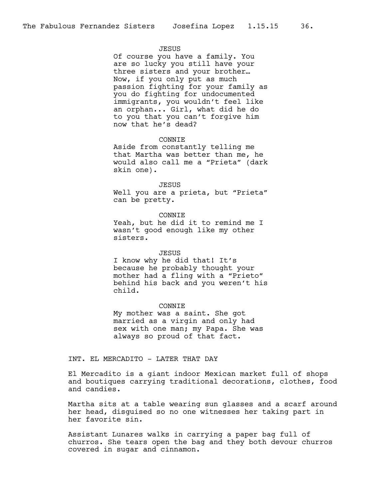#### JESUS

Of course you have a family. You are so lucky you still have your three sisters and your brother… Now, if you only put as much passion fighting for your family as you do fighting for undocumented immigrants, you wouldn't feel like an orphan... Girl, what did he do to you that you can't forgive him now that he's dead?

#### CONNIE

Aside from constantly telling me that Martha was better than me, he would also call me a "Prieta" (dark skin one).

#### JESUS

Well you are a prieta, but "Prieta" can be pretty.

#### **CONNTE**

Yeah, but he did it to remind me I wasn't good enough like my other sisters.

#### JESUS

I know why he did that! It's because he probably thought your mother had a fling with a "Prieto" behind his back and you weren't his child.

#### CONNIE

My mother was a saint. She got married as a virgin and only had sex with one man; my Papa. She was always so proud of that fact.

## INT. EL MERCADITO - LATER THAT DAY

El Mercadito is a giant indoor Mexican market full of shops and boutiques carrying traditional decorations, clothes, food and candies.

Martha sits at a table wearing sun glasses and a scarf around her head, disguised so no one witnesses her taking part in her favorite sin.

Assistant Lunares walks in carrying a paper bag full of churros. She tears open the bag and they both devour churros covered in sugar and cinnamon.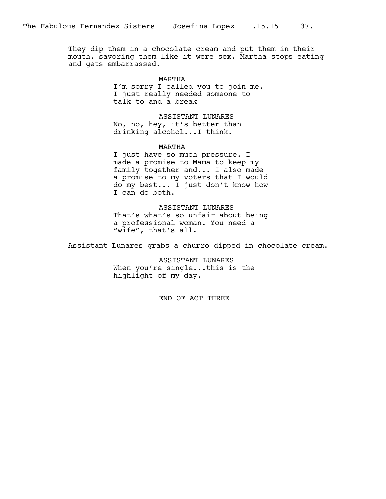They dip them in a chocolate cream and put them in their mouth, savoring them like it were sex. Martha stops eating and gets embarrassed.

> MARTHA I'm sorry I called you to join me. I just really needed someone to talk to and a break--

ASSISTANT LUNARES No, no, hey, it's better than drinking alcohol...I think.

MARTHA

I just have so much pressure. I made a promise to Mama to keep my family together and... I also made a promise to my voters that I would do my best... I just don't know how I can do both.

ASSISTANT LUNARES That's what's so unfair about being a professional woman. You need a "wife", that's all.

Assistant Lunares grabs a churro dipped in chocolate cream.

ASSISTANT LUNARES When you're single...this is the highlight of my day.

END OF ACT THREE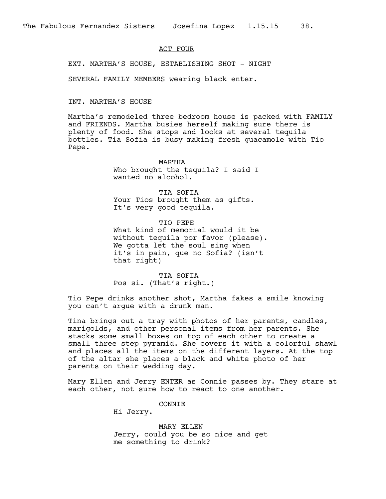#### ACT FOUR

EXT. MARTHA'S HOUSE, ESTABLISHING SHOT - NIGHT

SEVERAL FAMILY MEMBERS wearing black enter.

INT. MARTHA'S HOUSE

Martha's remodeled three bedroom house is packed with FAMILY and FRIENDS. Martha busies herself making sure there is plenty of food. She stops and looks at several tequila bottles. Tia Sofia is busy making fresh guacamole with Tio Pepe.

> MARTHA Who brought the tequila? I said I wanted no alcohol.

TIA SOFIA Your Tios brought them as gifts. It's very good tequila.

TIO PEPE What kind of memorial would it be without tequila por favor (please). We gotta let the soul sing when it's in pain, que no Sofia? (isn't that right)

TIA SOFIA Pos si. (That's right.)

Tio Pepe drinks another shot, Martha fakes a smile knowing you can't argue with a drunk man.

Tina brings out a tray with photos of her parents, candles, marigolds, and other personal items from her parents. She stacks some small boxes on top of each other to create a small three step pyramid. She covers it with a colorful shawl and places all the items on the different layers. At the top of the altar she places a black and white photo of her parents on their wedding day.

Mary Ellen and Jerry ENTER as Connie passes by. They stare at each other, not sure how to react to one another.

CONNIE

Hi Jerry.

MARY ELLEN Jerry, could you be so nice and get me something to drink?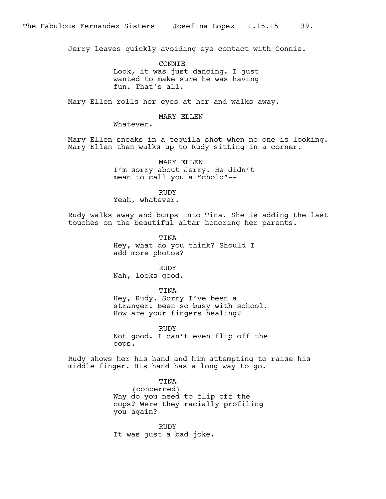Jerry leaves quickly avoiding eye contact with Connie.

CONNIE Look, it was just dancing. I just wanted to make sure he was having fun. That's all.

Mary Ellen rolls her eyes at her and walks away.

#### MARY ELLEN

Whatever.

Mary Ellen sneaks in a tequila shot when no one is looking. Mary Ellen then walks up to Rudy sitting in a corner.

> MARY ELLEN I'm sorry about Jerry. He didn't mean to call you a "cholo"--

RUDY Yeah, whatever.

Rudy walks away and bumps into Tina. She is adding the last touches on the beautiful altar honoring her parents.

> TINA Hey, what do you think? Should I add more photos?

> > RUDY

Nah, looks good.

## TINA

Hey, Rudy. Sorry I've been a stranger. Been so busy with school. How are your fingers healing?

RUDY Not good. I can't even flip off the cops.

Rudy shows her his hand and him attempting to raise his middle finger. His hand has a long way to go.

> TINA (concerned) Why do you need to flip off the cops? Were they racially profiling you again?

RUDY It was just a bad joke.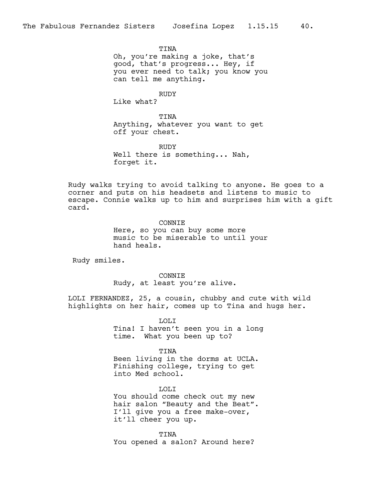**TINA** Oh, you're making a joke, that's good, that's progress... Hey, if you ever need to talk; you know you can tell me anything.

RUDY

Like what?

TINA Anything, whatever you want to get off your chest.

RUDY Well there is something... Nah, forget it.

Rudy walks trying to avoid talking to anyone. He goes to a corner and puts on his headsets and listens to music to escape. Connie walks up to him and surprises him with a gift card.

> CONNIE Here, so you can buy some more music to be miserable to until your hand heals.

Rudy smiles.

CONNIE Rudy, at least you're alive.

LOLI FERNANDEZ, 25, a cousin, chubby and cute with wild highlights on her hair, comes up to Tina and hugs her.

> LOLI Tina! I haven't seen you in a long time. What you been up to?

TINA Been living in the dorms at UCLA. Finishing college, trying to get into Med school.

LOLI You should come check out my new hair salon "Beauty and the Beat". I'll give you a free make-over, it'll cheer you up.

TINA You opened a salon? Around here?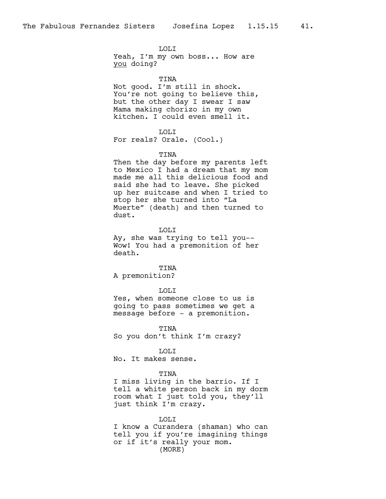LOLI Yeah, I'm my own boss... How are you doing?

TINA Not good. I'm still in shock. You're not going to believe this, but the other day I swear I saw Mama making chorizo in my own kitchen. I could even smell it.

#### LOLI

For reals? Orale. (Cool.)

#### TINA

Then the day before my parents left to Mexico I had a dream that my mom made me all this delicious food and said she had to leave. She picked up her suitcase and when I tried to stop her she turned into "La Muerte" (death) and then turned to dust.

LOLI

Ay, she was trying to tell you-- Wow! You had a premonition of her death.

TINA A premonition?

#### LOLI

Yes, when someone close to us is going to pass sometimes we get a message before - a premonition.

TINA So you don't think I'm crazy?

#### LOLI

No. It makes sense.

#### TINA

I miss living in the barrio. If I tell a white person back in my dorm room what I just told you, they'll just think I'm crazy.

LOLI

I know a Curandera (shaman) who can tell you if you're imagining things or if it's really your mom. (MORE)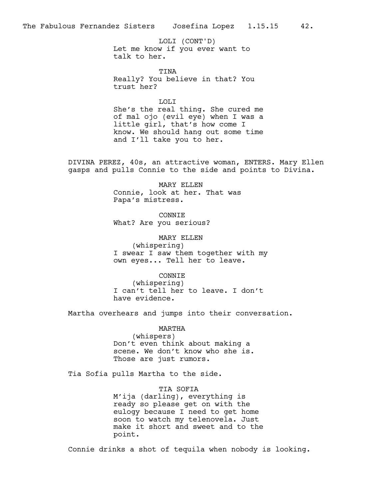Let me know if you ever want to talk to her. LOLI (CONT'D)

TINA Really? You believe in that? You trust her?

LOLI

She's the real thing. She cured me of mal ojo (evil eye) when I was a little girl, that's how come I know. We should hang out some time and I'll take you to her.

DIVINA PEREZ, 40s, an attractive woman, ENTERS. Mary Ellen gasps and pulls Connie to the side and points to Divina.

> MARY ELLEN Connie, look at her. That was Papa's mistress.

CONNIE What? Are you serious?

MARY ELLEN (whispering) I swear I saw them together with my own eyes... Tell her to leave.

CONNIE (whispering) I can't tell her to leave. I don't

have evidence.

Martha overhears and jumps into their conversation.

MARTHA (whispers) Don't even think about making a scene. We don't know who she is. Those are just rumors.

Tia Sofia pulls Martha to the side.

TIA SOFIA M'ija (darling), everything is ready so please get on with the eulogy because I need to get home soon to watch my telenovela. Just make it short and sweet and to the point.

Connie drinks a shot of tequila when nobody is looking.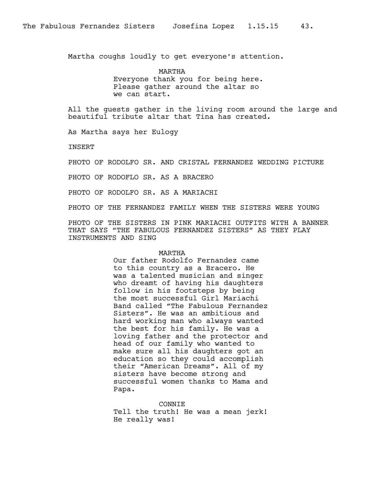Martha coughs loudly to get everyone's attention.

MARTHA Everyone thank you for being here. Please gather around the altar so we can start.

All the guests gather in the living room around the large and beautiful tribute altar that Tina has created.

As Martha says her Eulogy

**TNSERT** 

PHOTO OF RODOLFO SR. AND CRISTAL FERNANDEZ WEDDING PICTURE

PHOTO OF RODOFLO SR. AS A BRACERO

PHOTO OF RODOLFO SR. AS A MARIACHI

PHOTO OF THE FERNANDEZ FAMILY WHEN THE SISTERS WERE YOUNG

PHOTO OF THE SISTERS IN PINK MARIACHI OUTFITS WITH A BANNER THAT SAYS "THE FABULOUS FERNANDEZ SISTERS" AS THEY PLAY INSTRUMENTS AND SING

## MARTHA

Our father Rodolfo Fernandez came to this country as a Bracero. He was a talented musician and singer who dreamt of having his daughters follow in his footsteps by being the most successful Girl Mariachi Band called "The Fabulous Fernandez Sisters". He was an ambitious and hard working man who always wanted the best for his family. He was a loving father and the protector and head of our family who wanted to make sure all his daughters got an education so they could accomplish their "American Dreams". All of my sisters have become strong and successful women thanks to Mama and Papa.

CONNIE

Tell the truth! He was a mean jerk! He really was!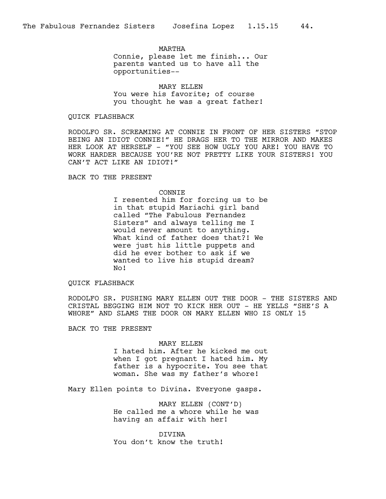MARTHA Connie, please let me finish... Our parents wanted us to have all the opportunities--

MARY ELLEN You were his favorite; of course you thought he was a great father!

#### QUICK FLASHBACK

RODOLFO SR. SCREAMING AT CONNIE IN FRONT OF HER SISTERS "STOP BEING AN IDIOT CONNIE!" HE DRAGS HER TO THE MIRROR AND MAKES HER LOOK AT HERSELF - "YOU SEE HOW UGLY YOU ARE! YOU HAVE TO WORK HARDER BECAUSE YOU'RE NOT PRETTY LIKE YOUR SISTERS! YOU CAN'T ACT LIKE AN IDIOT!"

BACK TO THE PRESENT

#### CONNIE

I resented him for forcing us to be in that stupid Mariachi girl band called "The Fabulous Fernandez Sisters" and always telling me I would never amount to anything. What kind of father does that?! We were just his little puppets and did he ever bother to ask if we wanted to live his stupid dream? No!

## QUICK FLASHBACK

RODOLFO SR. PUSHING MARY ELLEN OUT THE DOOR - THE SISTERS AND CRISTAL BEGGING HIM NOT TO KICK HER OUT - HE YELLS "SHE'S A WHORE" AND SLAMS THE DOOR ON MARY ELLEN WHO IS ONLY 15

BACK TO THE PRESENT

#### MARY ELLEN

I hated him. After he kicked me out when I got pregnant I hated him. My father is a hypocrite. You see that woman. She was my father's whore!

Mary Ellen points to Divina. Everyone gasps.

MARY ELLEN (CONT'D) He called me a whore while he was having an affair with her!

DIVINA You don't know the truth!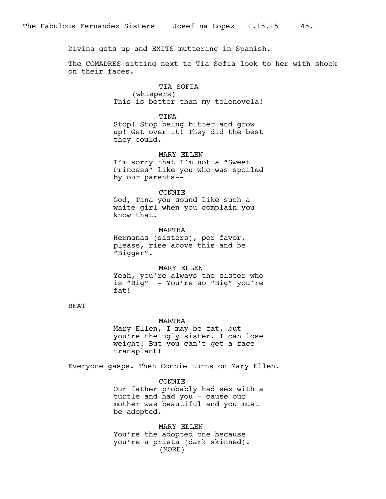Divina gets up and EXITS muttering in Spanish.

The COMADRES sitting next to Tia Sofia look to her with shock on their faces.

> TIA SOFIA (whispers) This is better than my telenovela!

> TINA Stop! Stop being bitter and grow up! Get over it! They did the best they could.

MARY ELLEN I'm sorry that I'm not a "Sweet Princess" like you who was spoiled by our parents--

CONNIE

God, Tina you sound like such a white girl when you complain you know that.

MARTHA Hermanas (sisters), por favor, please, rise above this and be "Bigger".

MARY ELLEN Yeah, you're always the sister who is "Big" - You're so "Big" you're fat!

## BEAT

#### MARTHA

Mary Ellen, I may be fat, but you're the ugly sister. I can lose weight! But you can't get a face transplant!

Everyone gasps. Then Connie turns on Mary Ellen.

CONNIE Our father probably had sex with a turtle and had you - cause our mother was beautiful and you must be adopted.

MARY ELLEN You're the adopted one because you're a prieta (dark skinned). (MORE)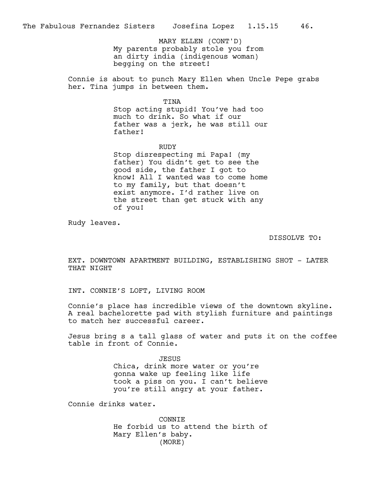My parents probably stole you from an dirty india (indigenous woman) begging on the street! MARY ELLEN (CONT'D)

Connie is about to punch Mary Ellen when Uncle Pepe grabs her. Tina jumps in between them.

TINA

Stop acting stupid! You've had too much to drink. So what if our father was a jerk, he was still our father!

RUDY Stop disrespecting mi Papa! (my father) You didn't get to see the good side, the father I got to know! All I wanted was to come home to my family, but that doesn't exist anymore. I'd rather live on the street than get stuck with any of you!

Rudy leaves.

DISSOLVE TO:

EXT. DOWNTOWN APARTMENT BUILDING, ESTABLISHING SHOT - LATER THAT NIGHT

INT. CONNIE'S LOFT, LIVING ROOM

Connie's place has incredible views of the downtown skyline. A real bachelorette pad with stylish furniture and paintings to match her successful career.

Jesus bring s a tall glass of water and puts it on the coffee table in front of Connie.

> JESUS Chica, drink more water or you're gonna wake up feeling like life took a piss on you. I can't believe you're still angry at your father.

Connie drinks water.

CONNIE He forbid us to attend the birth of Mary Ellen's baby. (MORE)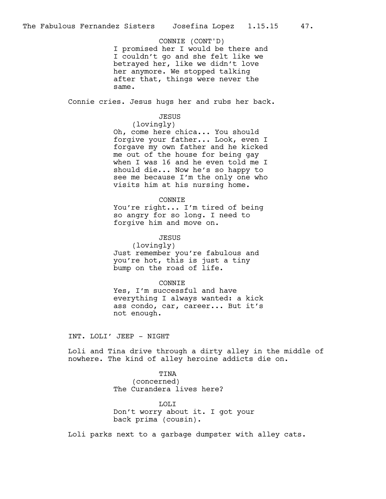I promised her I would be there and I couldn't go and she felt like we betrayed her, like we didn't love her anymore. We stopped talking after that, things were never the same. CONNIE (CONT'D)

Connie cries. Jesus hugs her and rubs her back.

## JESUS

(lovingly)

Oh, come here chica... You should forgive your father... Look, even I forgave my own father and he kicked me out of the house for being gay when I was 16 and he even told me I should die... Now he's so happy to see me because I'm the only one who visits him at his nursing home.

#### CONNIE

You're right... I'm tired of being so angry for so long. I need to forgive him and move on.

#### JESUS

(lovingly) Just remember you're fabulous and you're hot, this is just a tiny bump on the road of life.

#### CONNIE

Yes, I'm successful and have everything I always wanted: a kick ass condo, car, career... But it's not enough.

INT. LOLI' JEEP - NIGHT

Loli and Tina drive through a dirty alley in the middle of nowhere. The kind of alley heroine addicts die on.

> TINA (concerned) The Curandera lives here?

LOLI Don't worry about it. I got your back prima (cousin).

Loli parks next to a garbage dumpster with alley cats.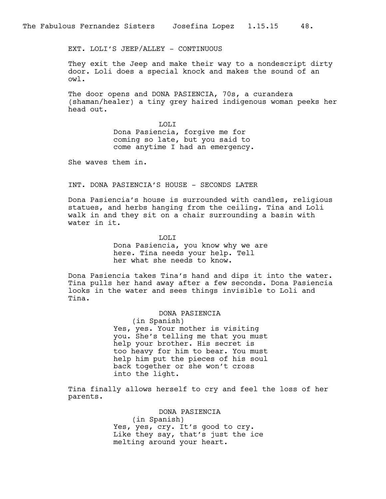EXT. LOLI'S JEEP/ALLEY - CONTINUOUS

They exit the Jeep and make their way to a nondescript dirty door. Loli does a special knock and makes the sound of an owl.

The door opens and DONA PASIENCIA, 70s, a curandera (shaman/healer) a tiny grey haired indigenous woman peeks her head out.

> LOLI Dona Pasiencia, forgive me for coming so late, but you said to come anytime I had an emergency.

She waves them in.

INT. DONA PASIENCIA'S HOUSE - SECONDS LATER

Dona Pasiencia's house is surrounded with candles, religious statues, and herbs hanging from the ceiling. Tina and Loli walk in and they sit on a chair surrounding a basin with water in it.

LOLI

Dona Pasiencia, you know why we are here. Tina needs your help. Tell her what she needs to know.

Dona Pasiencia takes Tina's hand and dips it into the water. Tina pulls her hand away after a few seconds. Dona Pasiencia looks in the water and sees things invisible to Loli and Tina.

DONA PASIENCIA

(in Spanish) Yes, yes. Your mother is visiting you. She's telling me that you must help your brother. His secret is too heavy for him to bear. You must help him put the pieces of his soul back together or she won't cross into the light.

Tina finally allows herself to cry and feel the loss of her parents.

> DONA PASIENCIA (in Spanish) Yes, yes, cry. It's good to cry. Like they say, that's just the ice melting around your heart.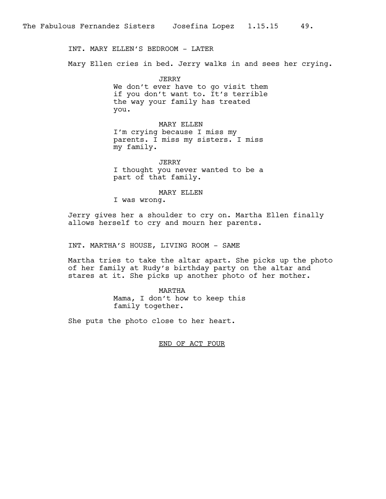INT. MARY ELLEN'S BEDROOM - LATER

Mary Ellen cries in bed. Jerry walks in and sees her crying.

JERRY We don't ever have to go visit them if you don't want to. It's terrible the way your family has treated you.

MARY ELLEN I'm crying because I miss my parents. I miss my sisters. I miss my family.

JERRY I thought you never wanted to be a part of that family.

MARY ELLEN

I was wrong.

Jerry gives her a shoulder to cry on. Martha Ellen finally allows herself to cry and mourn her parents.

INT. MARTHA'S HOUSE, LIVING ROOM - SAME

Martha tries to take the altar apart. She picks up the photo of her family at Rudy's birthday party on the altar and stares at it. She picks up another photo of her mother.

> MARTHA Mama, I don't how to keep this family together.

She puts the photo close to her heart.

END OF ACT FOUR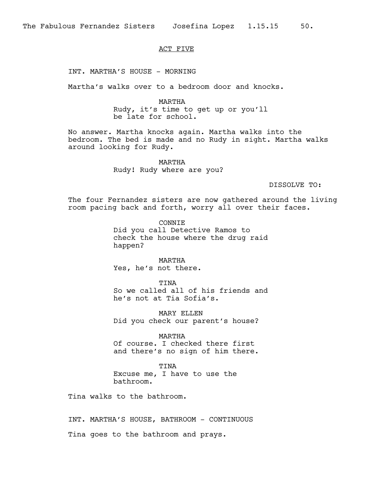## ACT FIVE

INT. MARTHA'S HOUSE - MORNING

Martha's walks over to a bedroom door and knocks.

MARTHA Rudy, it's time to get up or you'll be late for school.

No answer. Martha knocks again. Martha walks into the bedroom. The bed is made and no Rudy in sight. Martha walks around looking for Rudy.

> MARTHA Rudy! Rudy where are you?

> > DISSOLVE TO:

The four Fernandez sisters are now gathered around the living room pacing back and forth, worry all over their faces.

> CONNIE Did you call Detective Ramos to check the house where the drug raid happen?

MARTHA Yes, he's not there.

TINA So we called all of his friends and he's not at Tia Sofia's.

MARY ELLEN Did you check our parent's house?

MARTHA Of course. I checked there first and there's no sign of him there.

TINA Excuse me, I have to use the bathroom.

Tina walks to the bathroom.

INT. MARTHA'S HOUSE, BATHROOM - CONTINUOUS Tina goes to the bathroom and prays.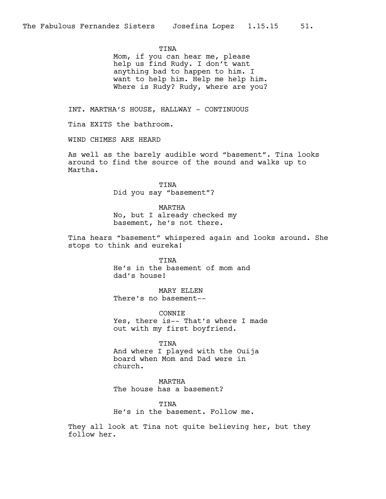TINA

Mom, if you can hear me, please help us find Rudy. I don't want anything bad to happen to him. I want to help him. Help me help him. Where is Rudy? Rudy, where are you?

INT. MARTHA'S HOUSE, HALLWAY - CONTINUOUS

Tina EXITS the bathroom.

WIND CHIMES ARE HEARD

As well as the barely audible word "basement". Tina looks around to find the source of the sound and walks up to Martha.

> TINA Did you say "basement"?

> > MARTHA

No, but I already checked my basement, he's not there.

Tina hears "basement" whispered again and looks around. She stops to think and eureka!

> TINA He's in the basement of mom and dad's house!

MARY ELLEN There's no basement--

**CONNTE** Yes, there is-- That's where I made out with my first boyfriend.

TINA

And where I played with the Ouija board when Mom and Dad were in church.

MARTHA The house has a basement?

TTNA He's in the basement. Follow me.

They all look at Tina not quite believing her, but they follow her.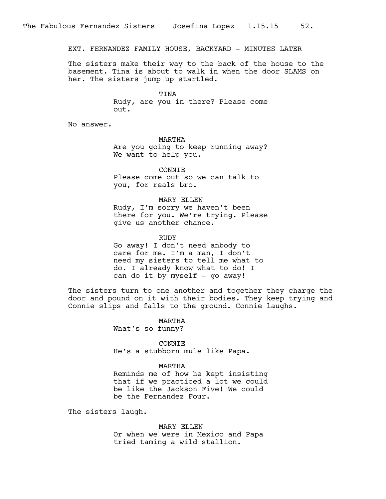EXT. FERNANDEZ FAMILY HOUSE, BACKYARD - MINUTES LATER

The sisters make their way to the back of the house to the basement. Tina is about to walk in when the door SLAMS on her. The sisters jump up startled.

> TINA Rudy, are you in there? Please come out.

No answer.

MARTHA Are you going to keep running away? We want to help you.

CONNIE Please come out so we can talk to you, for reals bro.

MARY ELLEN

Rudy, I'm sorry we haven't been there for you. We're trying. Please give us another chance.

RUDY

Go away! I don't need anbody to care for me. I'm a man, I don't need my sisters to tell me what to do. I already know what to do! I can do it by myself - go away!

The sisters turn to one another and together they charge the door and pound on it with their bodies. They keep trying and Connie slips and falls to the ground. Connie laughs.

> MARTHA What's so funny?

CONNIE He's a stubborn mule like Papa.

MARTHA

Reminds me of how he kept insisting that if we practiced a lot we could be like the Jackson Five! We could be the Fernandez Four.

The sisters laugh.

MARY ELLEN Or when we were in Mexico and Papa tried taming a wild stallion.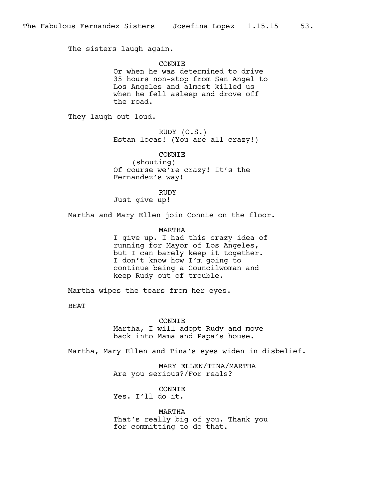The sisters laugh again.

**CONNTE** Or when he was determined to drive 35 hours non-stop from San Angel to Los Angeles and almost killed us when he fell asleep and drove off the road.

They laugh out loud.

RUDY (O.S.) Estan locas! (You are all crazy!)

CONNIE (shouting) Of course we're crazy! It's the Fernandez's way!

RUDY Just give up!

Martha and Mary Ellen join Connie on the floor.

MARTHA I give up. I had this crazy idea of running for Mayor of Los Angeles, but I can barely keep it together. I don't know how I'm going to continue being a Councilwoman and keep Rudy out of trouble.

Martha wipes the tears from her eyes.

BEAT

CONNIE

Martha, I will adopt Rudy and move back into Mama and Papa's house.

Martha, Mary Ellen and Tina's eyes widen in disbelief.

MARY ELLEN/TINA/MARTHA Are you serious?/For reals?

CONNIE Yes. I'll do it.

MARTHA That's really big of you. Thank you for committing to do that.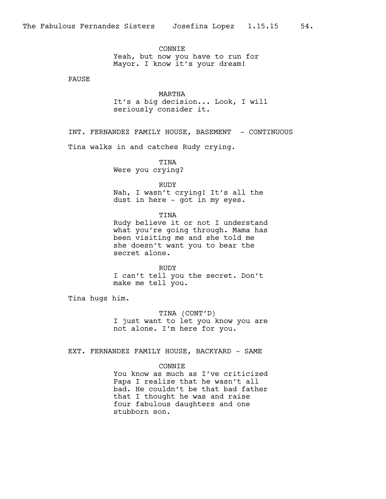**CONNTE** Yeah, but now you have to run for Mayor. I know it's your dream!

PAUSE

MARTHA It's a big decision... Look, I will seriously consider it.

INT. FERNANDEZ FAMILY HOUSE, BASEMENT - CONTINUOUS

Tina walks in and catches Rudy crying.

TINA Were you crying?

RUDY

Nah, I wasn't crying! It's all the dust in here - got in my eyes.

TINA

Rudy believe it or not I understand what you're going through. Mama has been visiting me and she told me she doesn't want you to bear the secret alone.

RUDY I can't tell you the secret. Don't make me tell you.

Tina hugs him.

TINA (CONT'D) I just want to let you know you are not alone. I'm here for you.

EXT. FERNANDEZ FAMILY HOUSE, BACKYARD - SAME

## **CONNTE**

You know as much as I've criticized Papa I realize that he wasn't all bad. He couldn't be that bad father that I thought he was and raise four fabulous daughters and one stubborn son.